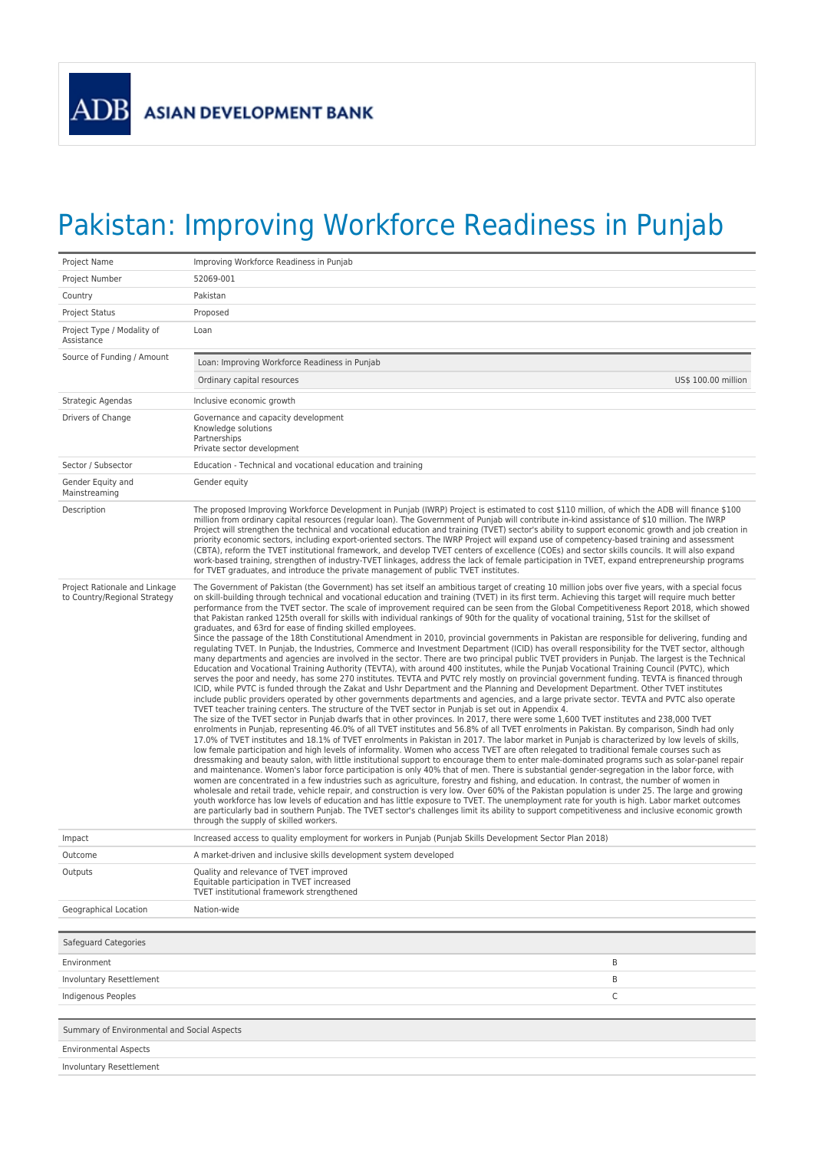## Pakistan: Improving Workforce Readiness in Punjab

| Project Name                                                  | Improving Workforce Readiness in Punjab                                                                                                                                                                                                                                                                                                                                                                                                                                                                                                                                                                                                                                                                                                                                                                                                                                                                                                                                                                                                                                                                                                                                                                                                                                                                                                                                                                                                                                                                                                                                                                                                                                                                                                                                                                                                                                                                                                                                                                                                                                                                                                                                                                                                                                                                                                                                                                                                                                                                                                                                                                                                                                                                                                                                                                                                                                                                                                                                                                                                                                                                                                                                                                                                                                                                                                                 |  |
|---------------------------------------------------------------|---------------------------------------------------------------------------------------------------------------------------------------------------------------------------------------------------------------------------------------------------------------------------------------------------------------------------------------------------------------------------------------------------------------------------------------------------------------------------------------------------------------------------------------------------------------------------------------------------------------------------------------------------------------------------------------------------------------------------------------------------------------------------------------------------------------------------------------------------------------------------------------------------------------------------------------------------------------------------------------------------------------------------------------------------------------------------------------------------------------------------------------------------------------------------------------------------------------------------------------------------------------------------------------------------------------------------------------------------------------------------------------------------------------------------------------------------------------------------------------------------------------------------------------------------------------------------------------------------------------------------------------------------------------------------------------------------------------------------------------------------------------------------------------------------------------------------------------------------------------------------------------------------------------------------------------------------------------------------------------------------------------------------------------------------------------------------------------------------------------------------------------------------------------------------------------------------------------------------------------------------------------------------------------------------------------------------------------------------------------------------------------------------------------------------------------------------------------------------------------------------------------------------------------------------------------------------------------------------------------------------------------------------------------------------------------------------------------------------------------------------------------------------------------------------------------------------------------------------------------------------------------------------------------------------------------------------------------------------------------------------------------------------------------------------------------------------------------------------------------------------------------------------------------------------------------------------------------------------------------------------------------------------------------------------------------------------------------------------------|--|
| Project Number                                                | 52069-001                                                                                                                                                                                                                                                                                                                                                                                                                                                                                                                                                                                                                                                                                                                                                                                                                                                                                                                                                                                                                                                                                                                                                                                                                                                                                                                                                                                                                                                                                                                                                                                                                                                                                                                                                                                                                                                                                                                                                                                                                                                                                                                                                                                                                                                                                                                                                                                                                                                                                                                                                                                                                                                                                                                                                                                                                                                                                                                                                                                                                                                                                                                                                                                                                                                                                                                                               |  |
| Country                                                       | Pakistan                                                                                                                                                                                                                                                                                                                                                                                                                                                                                                                                                                                                                                                                                                                                                                                                                                                                                                                                                                                                                                                                                                                                                                                                                                                                                                                                                                                                                                                                                                                                                                                                                                                                                                                                                                                                                                                                                                                                                                                                                                                                                                                                                                                                                                                                                                                                                                                                                                                                                                                                                                                                                                                                                                                                                                                                                                                                                                                                                                                                                                                                                                                                                                                                                                                                                                                                                |  |
| <b>Project Status</b>                                         | Proposed                                                                                                                                                                                                                                                                                                                                                                                                                                                                                                                                                                                                                                                                                                                                                                                                                                                                                                                                                                                                                                                                                                                                                                                                                                                                                                                                                                                                                                                                                                                                                                                                                                                                                                                                                                                                                                                                                                                                                                                                                                                                                                                                                                                                                                                                                                                                                                                                                                                                                                                                                                                                                                                                                                                                                                                                                                                                                                                                                                                                                                                                                                                                                                                                                                                                                                                                                |  |
| Project Type / Modality of<br>Assistance                      | Loan                                                                                                                                                                                                                                                                                                                                                                                                                                                                                                                                                                                                                                                                                                                                                                                                                                                                                                                                                                                                                                                                                                                                                                                                                                                                                                                                                                                                                                                                                                                                                                                                                                                                                                                                                                                                                                                                                                                                                                                                                                                                                                                                                                                                                                                                                                                                                                                                                                                                                                                                                                                                                                                                                                                                                                                                                                                                                                                                                                                                                                                                                                                                                                                                                                                                                                                                                    |  |
| Source of Funding / Amount                                    | Loan: Improving Workforce Readiness in Punjab                                                                                                                                                                                                                                                                                                                                                                                                                                                                                                                                                                                                                                                                                                                                                                                                                                                                                                                                                                                                                                                                                                                                                                                                                                                                                                                                                                                                                                                                                                                                                                                                                                                                                                                                                                                                                                                                                                                                                                                                                                                                                                                                                                                                                                                                                                                                                                                                                                                                                                                                                                                                                                                                                                                                                                                                                                                                                                                                                                                                                                                                                                                                                                                                                                                                                                           |  |
|                                                               | US\$ 100.00 million<br>Ordinary capital resources                                                                                                                                                                                                                                                                                                                                                                                                                                                                                                                                                                                                                                                                                                                                                                                                                                                                                                                                                                                                                                                                                                                                                                                                                                                                                                                                                                                                                                                                                                                                                                                                                                                                                                                                                                                                                                                                                                                                                                                                                                                                                                                                                                                                                                                                                                                                                                                                                                                                                                                                                                                                                                                                                                                                                                                                                                                                                                                                                                                                                                                                                                                                                                                                                                                                                                       |  |
| Strategic Agendas                                             | Inclusive economic growth                                                                                                                                                                                                                                                                                                                                                                                                                                                                                                                                                                                                                                                                                                                                                                                                                                                                                                                                                                                                                                                                                                                                                                                                                                                                                                                                                                                                                                                                                                                                                                                                                                                                                                                                                                                                                                                                                                                                                                                                                                                                                                                                                                                                                                                                                                                                                                                                                                                                                                                                                                                                                                                                                                                                                                                                                                                                                                                                                                                                                                                                                                                                                                                                                                                                                                                               |  |
| Drivers of Change                                             | Governance and capacity development<br>Knowledge solutions<br>Partnerships<br>Private sector development                                                                                                                                                                                                                                                                                                                                                                                                                                                                                                                                                                                                                                                                                                                                                                                                                                                                                                                                                                                                                                                                                                                                                                                                                                                                                                                                                                                                                                                                                                                                                                                                                                                                                                                                                                                                                                                                                                                                                                                                                                                                                                                                                                                                                                                                                                                                                                                                                                                                                                                                                                                                                                                                                                                                                                                                                                                                                                                                                                                                                                                                                                                                                                                                                                                |  |
| Sector / Subsector                                            | Education - Technical and vocational education and training                                                                                                                                                                                                                                                                                                                                                                                                                                                                                                                                                                                                                                                                                                                                                                                                                                                                                                                                                                                                                                                                                                                                                                                                                                                                                                                                                                                                                                                                                                                                                                                                                                                                                                                                                                                                                                                                                                                                                                                                                                                                                                                                                                                                                                                                                                                                                                                                                                                                                                                                                                                                                                                                                                                                                                                                                                                                                                                                                                                                                                                                                                                                                                                                                                                                                             |  |
| Gender Equity and<br>Mainstreaming                            | Gender equity                                                                                                                                                                                                                                                                                                                                                                                                                                                                                                                                                                                                                                                                                                                                                                                                                                                                                                                                                                                                                                                                                                                                                                                                                                                                                                                                                                                                                                                                                                                                                                                                                                                                                                                                                                                                                                                                                                                                                                                                                                                                                                                                                                                                                                                                                                                                                                                                                                                                                                                                                                                                                                                                                                                                                                                                                                                                                                                                                                                                                                                                                                                                                                                                                                                                                                                                           |  |
| Description                                                   | The proposed Improving Workforce Development in Punjab (IWRP) Project is estimated to cost \$110 million, of which the ADB will finance \$100<br>million from ordinary capital resources (regular loan). The Government of Punjab will contribute in-kind assistance of \$10 million. The IWRP<br>Project will strengthen the technical and vocational education and training (TVET) sector's ability to support economic growth and job creation in<br>priority economic sectors, including export-oriented sectors. The IWRP Project will expand use of competency-based training and assessment<br>(CBTA), reform the TVET institutional framework, and develop TVET centers of excellence (COEs) and sector skills councils. It will also expand<br>work-based training, strengthen of industry-TVET linkages, address the lack of female participation in TVET, expand entrepreneurship programs<br>for TVET graduates, and introduce the private management of public TVET institutes.                                                                                                                                                                                                                                                                                                                                                                                                                                                                                                                                                                                                                                                                                                                                                                                                                                                                                                                                                                                                                                                                                                                                                                                                                                                                                                                                                                                                                                                                                                                                                                                                                                                                                                                                                                                                                                                                                                                                                                                                                                                                                                                                                                                                                                                                                                                                                            |  |
| Project Rationale and Linkage<br>to Country/Regional Strategy | The Government of Pakistan (the Government) has set itself an ambitious target of creating 10 million jobs over five vears, with a special focus<br>on skill-building through technical and vocational education and training (TVET) in its first term. Achieving this target will require much better<br>performance from the TVET sector. The scale of improvement required can be seen from the Global Competitiveness Report 2018, which showed<br>that Pakistan ranked 125th overall for skills with individual rankings of 90th for the quality of vocational training, 51st for the skillset of<br>graduates, and 63rd for ease of finding skilled employees.<br>Since the passage of the 18th Constitutional Amendment in 2010, provincial governments in Pakistan are responsible for delivering, funding and<br>regulating TVET. In Punjab, the Industries, Commerce and Investment Department (ICID) has overall responsibility for the TVET sector, although<br>many departments and agencies are involved in the sector. There are two principal public TVET providers in Punjab. The largest is the Technical<br>Education and Vocational Training Authority (TEVTA), with around 400 institutes, while the Punjab Vocational Training Council (PVTC), which<br>serves the poor and needy, has some 270 institutes. TEVTA and PVTC rely mostly on provincial government funding. TEVTA is financed through<br>ICID, while PVTC is funded through the Zakat and Ushr Department and the Planning and Development Department. Other TVET institutes<br>include public providers operated by other governments departments and agencies, and a large private sector. TEVTA and PVTC also operate<br>TVET teacher training centers. The structure of the TVET sector in Punjab is set out in Appendix 4.<br>The size of the TVET sector in Punjab dwarfs that in other provinces. In 2017, there were some 1,600 TVET institutes and 238,000 TVET<br>enrolments in Punjab, representing 46.0% of all TVET institutes and 56.8% of all TVET enrolments in Pakistan. By comparison, Sindh had only<br>17.0% of TVET institutes and 18.1% of TVET enrolments in Pakistan in 2017. The labor market in Punjab is characterized by low levels of skills,<br>low female participation and high levels of informality. Women who access TVET are often relegated to traditional female courses such as<br>dressmaking and beauty salon, with little institutional support to encourage them to enter male-dominated programs such as solar-panel repair<br>and maintenance. Women's labor force participation is only 40% that of men. There is substantial gender-segregation in the labor force, with<br>women are concentrated in a few industries such as agriculture, forestry and fishing, and education. In contrast, the number of women in<br>wholesale and retail trade, vehicle repair, and construction is very low. Over 60% of the Pakistan population is under 25. The large and growing<br>youth workforce has low levels of education and has little exposure to TVET. The unemployment rate for youth is high. Labor market outcomes<br>are particularly bad in southern Punjab. The TVET sector's challenges limit its ability to support competitiveness and inclusive economic growth<br>through the supply of skilled workers. |  |
| Impact                                                        | Increased access to quality employment for workers in Punjab (Punjab Skills Development Sector Plan 2018)                                                                                                                                                                                                                                                                                                                                                                                                                                                                                                                                                                                                                                                                                                                                                                                                                                                                                                                                                                                                                                                                                                                                                                                                                                                                                                                                                                                                                                                                                                                                                                                                                                                                                                                                                                                                                                                                                                                                                                                                                                                                                                                                                                                                                                                                                                                                                                                                                                                                                                                                                                                                                                                                                                                                                                                                                                                                                                                                                                                                                                                                                                                                                                                                                                               |  |
| Outcome                                                       | A market-driven and inclusive skills development system developed                                                                                                                                                                                                                                                                                                                                                                                                                                                                                                                                                                                                                                                                                                                                                                                                                                                                                                                                                                                                                                                                                                                                                                                                                                                                                                                                                                                                                                                                                                                                                                                                                                                                                                                                                                                                                                                                                                                                                                                                                                                                                                                                                                                                                                                                                                                                                                                                                                                                                                                                                                                                                                                                                                                                                                                                                                                                                                                                                                                                                                                                                                                                                                                                                                                                                       |  |
| Outputs                                                       | Quality and relevance of TVET improved<br>Equitable participation in TVET increased<br>TVET institutional framework strengthened                                                                                                                                                                                                                                                                                                                                                                                                                                                                                                                                                                                                                                                                                                                                                                                                                                                                                                                                                                                                                                                                                                                                                                                                                                                                                                                                                                                                                                                                                                                                                                                                                                                                                                                                                                                                                                                                                                                                                                                                                                                                                                                                                                                                                                                                                                                                                                                                                                                                                                                                                                                                                                                                                                                                                                                                                                                                                                                                                                                                                                                                                                                                                                                                                        |  |
| Geographical Location                                         | Nation-wide                                                                                                                                                                                                                                                                                                                                                                                                                                                                                                                                                                                                                                                                                                                                                                                                                                                                                                                                                                                                                                                                                                                                                                                                                                                                                                                                                                                                                                                                                                                                                                                                                                                                                                                                                                                                                                                                                                                                                                                                                                                                                                                                                                                                                                                                                                                                                                                                                                                                                                                                                                                                                                                                                                                                                                                                                                                                                                                                                                                                                                                                                                                                                                                                                                                                                                                                             |  |
|                                                               |                                                                                                                                                                                                                                                                                                                                                                                                                                                                                                                                                                                                                                                                                                                                                                                                                                                                                                                                                                                                                                                                                                                                                                                                                                                                                                                                                                                                                                                                                                                                                                                                                                                                                                                                                                                                                                                                                                                                                                                                                                                                                                                                                                                                                                                                                                                                                                                                                                                                                                                                                                                                                                                                                                                                                                                                                                                                                                                                                                                                                                                                                                                                                                                                                                                                                                                                                         |  |
| Safeguard Categories                                          |                                                                                                                                                                                                                                                                                                                                                                                                                                                                                                                                                                                                                                                                                                                                                                                                                                                                                                                                                                                                                                                                                                                                                                                                                                                                                                                                                                                                                                                                                                                                                                                                                                                                                                                                                                                                                                                                                                                                                                                                                                                                                                                                                                                                                                                                                                                                                                                                                                                                                                                                                                                                                                                                                                                                                                                                                                                                                                                                                                                                                                                                                                                                                                                                                                                                                                                                                         |  |
| Environment                                                   | B                                                                                                                                                                                                                                                                                                                                                                                                                                                                                                                                                                                                                                                                                                                                                                                                                                                                                                                                                                                                                                                                                                                                                                                                                                                                                                                                                                                                                                                                                                                                                                                                                                                                                                                                                                                                                                                                                                                                                                                                                                                                                                                                                                                                                                                                                                                                                                                                                                                                                                                                                                                                                                                                                                                                                                                                                                                                                                                                                                                                                                                                                                                                                                                                                                                                                                                                                       |  |
| Involuntary Resettlement                                      | B                                                                                                                                                                                                                                                                                                                                                                                                                                                                                                                                                                                                                                                                                                                                                                                                                                                                                                                                                                                                                                                                                                                                                                                                                                                                                                                                                                                                                                                                                                                                                                                                                                                                                                                                                                                                                                                                                                                                                                                                                                                                                                                                                                                                                                                                                                                                                                                                                                                                                                                                                                                                                                                                                                                                                                                                                                                                                                                                                                                                                                                                                                                                                                                                                                                                                                                                                       |  |
| Indigenous Peoples                                            | $\mathsf C$                                                                                                                                                                                                                                                                                                                                                                                                                                                                                                                                                                                                                                                                                                                                                                                                                                                                                                                                                                                                                                                                                                                                                                                                                                                                                                                                                                                                                                                                                                                                                                                                                                                                                                                                                                                                                                                                                                                                                                                                                                                                                                                                                                                                                                                                                                                                                                                                                                                                                                                                                                                                                                                                                                                                                                                                                                                                                                                                                                                                                                                                                                                                                                                                                                                                                                                                             |  |
|                                                               |                                                                                                                                                                                                                                                                                                                                                                                                                                                                                                                                                                                                                                                                                                                                                                                                                                                                                                                                                                                                                                                                                                                                                                                                                                                                                                                                                                                                                                                                                                                                                                                                                                                                                                                                                                                                                                                                                                                                                                                                                                                                                                                                                                                                                                                                                                                                                                                                                                                                                                                                                                                                                                                                                                                                                                                                                                                                                                                                                                                                                                                                                                                                                                                                                                                                                                                                                         |  |
| Summary of Environmental and Social Aspects                   |                                                                                                                                                                                                                                                                                                                                                                                                                                                                                                                                                                                                                                                                                                                                                                                                                                                                                                                                                                                                                                                                                                                                                                                                                                                                                                                                                                                                                                                                                                                                                                                                                                                                                                                                                                                                                                                                                                                                                                                                                                                                                                                                                                                                                                                                                                                                                                                                                                                                                                                                                                                                                                                                                                                                                                                                                                                                                                                                                                                                                                                                                                                                                                                                                                                                                                                                                         |  |
| <b>Environmental Aspects</b>                                  |                                                                                                                                                                                                                                                                                                                                                                                                                                                                                                                                                                                                                                                                                                                                                                                                                                                                                                                                                                                                                                                                                                                                                                                                                                                                                                                                                                                                                                                                                                                                                                                                                                                                                                                                                                                                                                                                                                                                                                                                                                                                                                                                                                                                                                                                                                                                                                                                                                                                                                                                                                                                                                                                                                                                                                                                                                                                                                                                                                                                                                                                                                                                                                                                                                                                                                                                                         |  |
| Involuntary Resettlement                                      |                                                                                                                                                                                                                                                                                                                                                                                                                                                                                                                                                                                                                                                                                                                                                                                                                                                                                                                                                                                                                                                                                                                                                                                                                                                                                                                                                                                                                                                                                                                                                                                                                                                                                                                                                                                                                                                                                                                                                                                                                                                                                                                                                                                                                                                                                                                                                                                                                                                                                                                                                                                                                                                                                                                                                                                                                                                                                                                                                                                                                                                                                                                                                                                                                                                                                                                                                         |  |